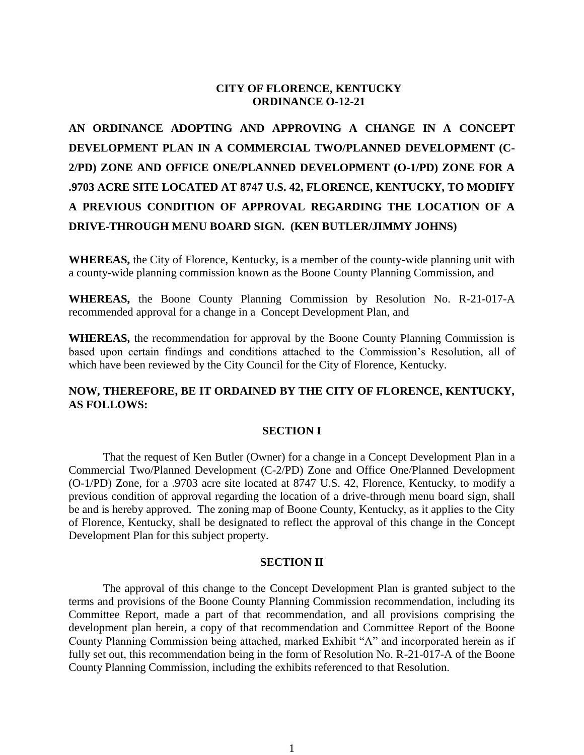# **CITY OF FLORENCE, KENTUCKY ORDINANCE O-12-21**

**AN ORDINANCE ADOPTING AND APPROVING A CHANGE IN A CONCEPT DEVELOPMENT PLAN IN A COMMERCIAL TWO/PLANNED DEVELOPMENT (C-2/PD) ZONE AND OFFICE ONE/PLANNED DEVELOPMENT (O-1/PD) ZONE FOR A .9703 ACRE SITE LOCATED AT 8747 U.S. 42, FLORENCE, KENTUCKY, TO MODIFY A PREVIOUS CONDITION OF APPROVAL REGARDING THE LOCATION OF A DRIVE-THROUGH MENU BOARD SIGN. (KEN BUTLER/JIMMY JOHNS)**

**WHEREAS,** the City of Florence, Kentucky, is a member of the county-wide planning unit with a county-wide planning commission known as the Boone County Planning Commission, and

**WHEREAS,** the Boone County Planning Commission by Resolution No. R-21-017-A recommended approval for a change in a Concept Development Plan, and

**WHEREAS,** the recommendation for approval by the Boone County Planning Commission is based upon certain findings and conditions attached to the Commission's Resolution, all of which have been reviewed by the City Council for the City of Florence, Kentucky.

## **NOW, THEREFORE, BE IT ORDAINED BY THE CITY OF FLORENCE, KENTUCKY, AS FOLLOWS:**

#### **SECTION I**

That the request of Ken Butler (Owner) for a change in a Concept Development Plan in a Commercial Two/Planned Development (C-2/PD) Zone and Office One/Planned Development (O-1/PD) Zone, for a .9703 acre site located at 8747 U.S. 42, Florence, Kentucky, to modify a previous condition of approval regarding the location of a drive-through menu board sign, shall be and is hereby approved. The zoning map of Boone County, Kentucky, as it applies to the City of Florence, Kentucky, shall be designated to reflect the approval of this change in the Concept Development Plan for this subject property.

#### **SECTION II**

The approval of this change to the Concept Development Plan is granted subject to the terms and provisions of the Boone County Planning Commission recommendation, including its Committee Report, made a part of that recommendation, and all provisions comprising the development plan herein, a copy of that recommendation and Committee Report of the Boone County Planning Commission being attached, marked Exhibit "A" and incorporated herein as if fully set out, this recommendation being in the form of Resolution No. R-21-017-A of the Boone County Planning Commission, including the exhibits referenced to that Resolution.